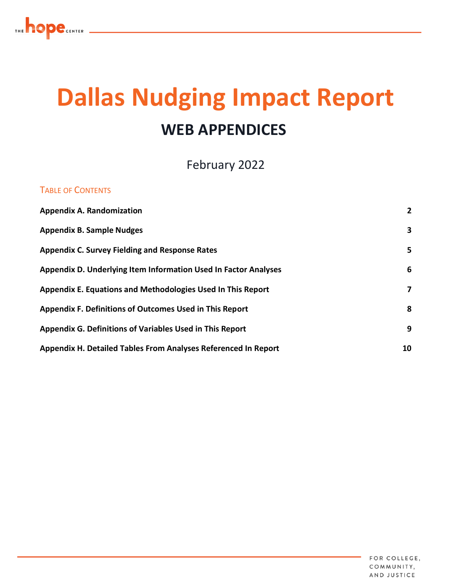

# **Dallas Nudging Impact Report WEB APPENDICES**

February 2022

#### TABLE OF CONTENTS

| <b>Appendix A. Randomization</b>                                | $\overline{2}$ |
|-----------------------------------------------------------------|----------------|
| <b>Appendix B. Sample Nudges</b>                                | 3              |
| <b>Appendix C. Survey Fielding and Response Rates</b>           | 5              |
| Appendix D. Underlying Item Information Used In Factor Analyses | 6              |
| Appendix E. Equations and Methodologies Used In This Report     | 7              |
| Appendix F. Definitions of Outcomes Used in This Report         | 8              |
| Appendix G. Definitions of Variables Used in This Report        | 9              |
| Appendix H. Detailed Tables From Analyses Referenced In Report  | 10             |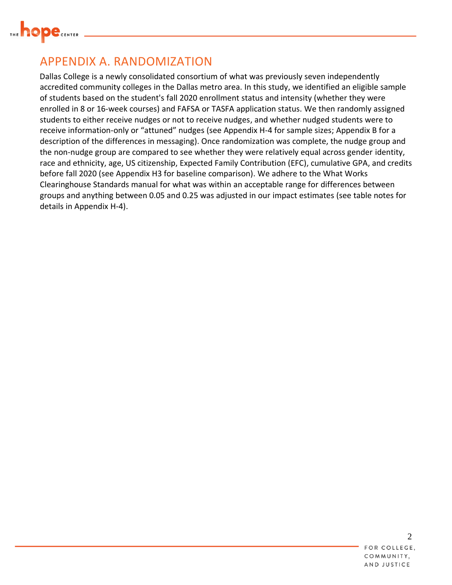

## <span id="page-1-0"></span>APPENDIX A. RANDOMIZATION

Dallas College is a newly consolidated consortium of what was previously seven independently accredited community colleges in the Dallas metro area. In this study, we identified an eligible sample of students based on the student's fall 2020 enrollment status and intensity (whether they were enrolled in 8 or 16-week courses) and FAFSA or TASFA application status. We then randomly assigned students to either receive nudges or not to receive nudges, and whether nudged students were to receive information-only or "attuned" nudges (see Appendix H-4 for sample sizes; Appendix B for a description of the differences in messaging). Once randomization was complete, the nudge group and the non-nudge group are compared to see whether they were relatively equal across gender identity, race and ethnicity, age, US citizenship, Expected Family Contribution (EFC), cumulative GPA, and credits before fall 2020 (see Appendix H3 for baseline comparison). We adhere to the What Works Clearinghouse Standards manual for what was within an acceptable range for differences between groups and anything between 0.05 and 0.25 was adjusted in our impact estimates (see table notes for details in Appendix H-4).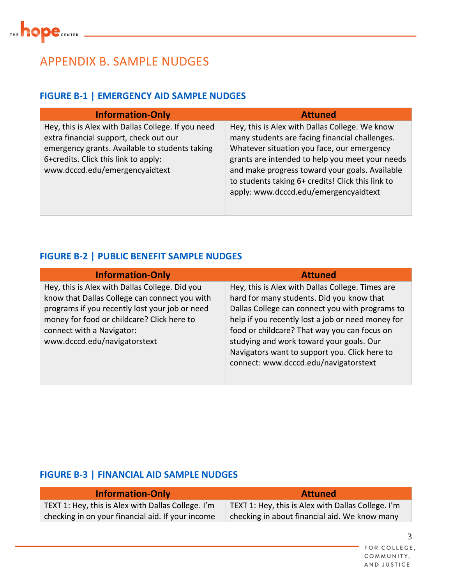

## <span id="page-2-0"></span>APPENDIX B. SAMPLE NUDGES

## **FIGURE B-1 | EMERGENCY AID SAMPLE NUDGES**

| <b>Information-Only</b>                                                                                                                                                                                                  | <b>Attuned</b>                                                                                                                                                                                                                                                                                                                                    |
|--------------------------------------------------------------------------------------------------------------------------------------------------------------------------------------------------------------------------|---------------------------------------------------------------------------------------------------------------------------------------------------------------------------------------------------------------------------------------------------------------------------------------------------------------------------------------------------|
| Hey, this is Alex with Dallas College. If you need<br>extra financial support, check out our<br>emergency grants. Available to students taking<br>6+credits. Click this link to apply:<br>www.dcccd.edu/emergencyaidtext | Hey, this is Alex with Dallas College. We know<br>many students are facing financial challenges.<br>Whatever situation you face, our emergency<br>grants are intended to help you meet your needs<br>and make progress toward your goals. Available<br>to students taking 6+ credits! Click this link to<br>apply: www.dcccd.edu/emergencyaidtext |

#### **FIGURE B-2 | PUBLIC BENEFIT SAMPLE NUDGES**

| <b>Information-Only</b>                                                                                                                                                                                                                                      | <b>Attuned</b>                                                                                                                                                                                                                                                                                                                                                                              |
|--------------------------------------------------------------------------------------------------------------------------------------------------------------------------------------------------------------------------------------------------------------|---------------------------------------------------------------------------------------------------------------------------------------------------------------------------------------------------------------------------------------------------------------------------------------------------------------------------------------------------------------------------------------------|
| Hey, this is Alex with Dallas College. Did you<br>know that Dallas College can connect you with<br>programs if you recently lost your job or need<br>money for food or childcare? Click here to<br>connect with a Navigator:<br>www.dcccd.edu/navigatorstext | Hey, this is Alex with Dallas College. Times are<br>hard for many students. Did you know that<br>Dallas College can connect you with programs to<br>help if you recently lost a job or need money for<br>food or childcare? That way you can focus on<br>studying and work toward your goals. Our<br>Navigators want to support you. Click here to<br>connect: www.dcccd.edu/navigatorstext |
|                                                                                                                                                                                                                                                              |                                                                                                                                                                                                                                                                                                                                                                                             |

#### **FIGURE B-3 | FINANCIAL AID SAMPLE NUDGES**

| <b>Information-Only</b>                            | <b>Attuned</b>                                     |
|----------------------------------------------------|----------------------------------------------------|
| TEXT 1: Hey, this is Alex with Dallas College. I'm | TEXT 1: Hey, this is Alex with Dallas College. I'm |
| checking in on your financial aid. If your income  | checking in about financial aid. We know many      |

FOR COLLEGE, COMMUNITY, AND JUSTICE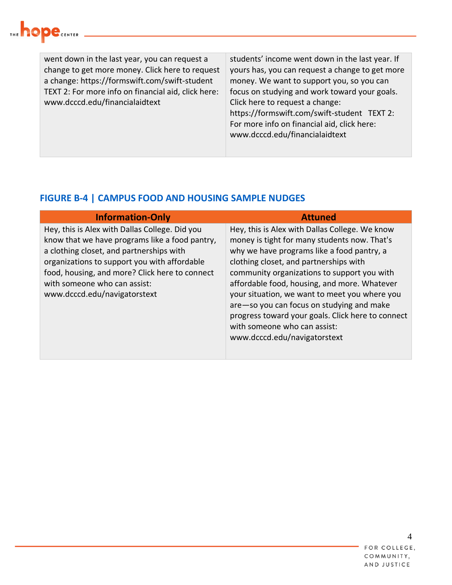

went down in the last year, you can request a change to get more money. Click here to request a change: https://formswift.com/swift-student TEXT 2: For more info on financial aid, click here: www.dcccd.edu/financialaidtext students' income went down in the last year. If yours has, you can request a change to get more money. We want to support you, so you can focus on studying and work toward your goals. Click here to request a change: https://formswift.com/swift-student TEXT 2: For more info on financial aid, click here: www.dcccd.edu/financialaidtext

#### **FIGURE B-4 | CAMPUS FOOD AND HOUSING SAMPLE NUDGES**

| <b>Information-Only</b>                                                                                                                                                                                                                                                                                        | <b>Attuned</b>                                                                                                                                                                                                                                                                                                                                                                                                                                                                                           |
|----------------------------------------------------------------------------------------------------------------------------------------------------------------------------------------------------------------------------------------------------------------------------------------------------------------|----------------------------------------------------------------------------------------------------------------------------------------------------------------------------------------------------------------------------------------------------------------------------------------------------------------------------------------------------------------------------------------------------------------------------------------------------------------------------------------------------------|
| Hey, this is Alex with Dallas College. Did you<br>know that we have programs like a food pantry,<br>a clothing closet, and partnerships with<br>organizations to support you with affordable<br>food, housing, and more? Click here to connect<br>with someone who can assist:<br>www.dcccd.edu/navigatorstext | Hey, this is Alex with Dallas College. We know<br>money is tight for many students now. That's<br>why we have programs like a food pantry, a<br>clothing closet, and partnerships with<br>community organizations to support you with<br>affordable food, housing, and more. Whatever<br>your situation, we want to meet you where you<br>are-so you can focus on studying and make<br>progress toward your goals. Click here to connect<br>with someone who can assist:<br>www.dcccd.edu/navigatorstext |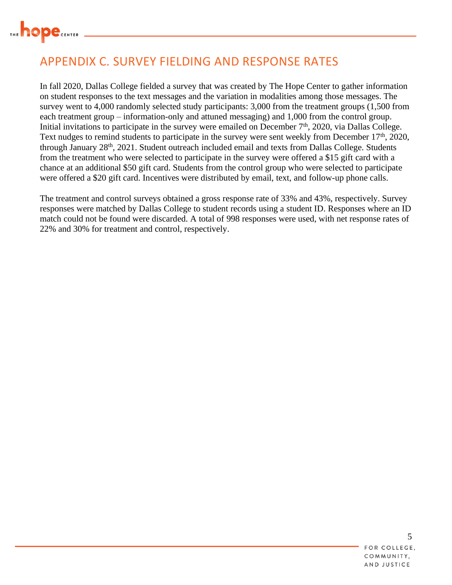

# <span id="page-4-0"></span>APPENDIX C. SURVEY FIELDING AND RESPONSE RATES

In fall 2020, Dallas College fielded a survey that was created by The Hope Center to gather information on student responses to the text messages and the variation in modalities among those messages. The survey went to 4,000 randomly selected study participants: 3,000 from the treatment groups (1,500 from each treatment group – information-only and attuned messaging) and 1,000 from the control group. Initial invitations to participate in the survey were emailed on December  $7<sup>th</sup>$ , 2020, via Dallas College. Text nudges to remind students to participate in the survey were sent weekly from December 17<sup>th</sup>, 2020, through January 28th, 2021. Student outreach included email and texts from Dallas College. Students from the treatment who were selected to participate in the survey were offered a \$15 gift card with a chance at an additional \$50 gift card. Students from the control group who were selected to participate were offered a \$20 gift card. Incentives were distributed by email, text, and follow-up phone calls.

The treatment and control surveys obtained a gross response rate of 33% and 43%, respectively. Survey responses were matched by Dallas College to student records using a student ID. Responses where an ID match could not be found were discarded. A total of 998 responses were used, with net response rates of 22% and 30% for treatment and control, respectively.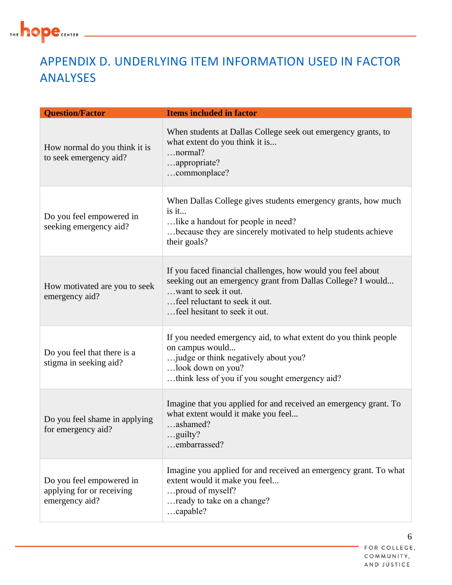

# <span id="page-5-0"></span>APPENDIX D. UNDERLYING ITEM INFORMATION USED IN FACTOR ANALYSES

| <b>Question/Factor</b>                                                  | <b>Items included in factor</b>                                                                                                                                                                                       |
|-------------------------------------------------------------------------|-----------------------------------------------------------------------------------------------------------------------------------------------------------------------------------------------------------------------|
| How normal do you think it is<br>to seek emergency aid?                 | When students at Dallas College seek out emergency grants, to<br>what extent do you think it is<br>$\dots$ normal?<br>appropriate?<br>commonplace?                                                                    |
| Do you feel empowered in<br>seeking emergency aid?                      | When Dallas College gives students emergency grants, how much<br>is it<br>like a handout for people in need?<br>because they are sincerely motivated to help students achieve<br>their goals?                         |
| How motivated are you to seek<br>emergency aid?                         | If you faced financial challenges, how would you feel about<br>seeking out an emergency grant from Dallas College? I would<br>want to seek it out.<br>feel reluctant to seek it out.<br>feel hesitant to seek it out. |
| Do you feel that there is a<br>stigma in seeking aid?                   | If you needed emergency aid, to what extent do you think people<br>on campus would<br>judge or think negatively about you?<br>look down on you?<br>think less of you if you sought emergency aid?                     |
| Do you feel shame in applying<br>for emergency aid?                     | Imagine that you applied for and received an emergency grant. To<br>what extent would it make you feel<br>ashamed?<br>.guilty?<br>embarrassed?                                                                        |
| Do you feel empowered in<br>applying for or receiving<br>emergency aid? | Imagine you applied for and received an emergency grant. To what<br>extent would it make you feel<br>proud of myself?<br>ready to take on a change?<br>capable?                                                       |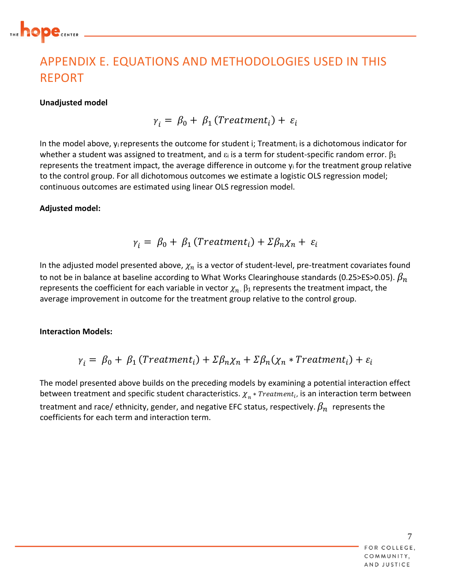

# <span id="page-6-0"></span>APPENDIX E. EQUATIONS AND METHODOLOGIES USED IN THIS REPORT

#### **Unadjusted model**

 $\gamma_i = \beta_0 + \beta_1$  (Treatment<sub>i</sub>) +  $\varepsilon_i$ 

In the model above,  $y_i$  represents the outcome for student i; Treatment $_i$  is a dichotomous indicator for whether a student was assigned to treatment, and  $\varepsilon_i$  is a term for student-specific random error.  $\beta_1$ represents the treatment impact, the average difference in outcome  $y_i$  for the treatment group relative to the control group. For all dichotomous outcomes we estimate a logistic OLS regression model; continuous outcomes are estimated using linear OLS regression model.

#### **Adjusted model:**

$$
\gamma_i = \beta_0 + \beta_1 \left( Treatment_i \right) + \Sigma \beta_n \chi_n + \varepsilon_i
$$

In the adjusted model presented above,  $\chi_n$  is a vector of student-level, pre-treatment covariates found to not be in balance at baseline according to What Works Clearinghouse standards (0.25>ES>0.05).  $\beta_n$ represents the coefficient for each variable in vector  $\chi_n$ .  $\beta_1$  represents the treatment impact, the average improvement in outcome for the treatment group relative to the control group.

#### **Interaction Models:**

$$
\gamma_i = \beta_0 + \beta_1 (Treatment_i) + \Sigma \beta_n \chi_n + \Sigma \beta_n (\chi_n * Treatment_i) + \varepsilon_i
$$

The model presented above builds on the preceding models by examining a potential interaction effect between treatment and specific student characteristics.  $\chi_n$  \*  $Treatment_i$ , is an interaction term between treatment and race/ ethnicity, gender, and negative EFC status, respectively.  $\beta_n$  represents the coefficients for each term and interaction term.

> 7 FOR COLLEGE, COMMUNITY. AND JUSTICE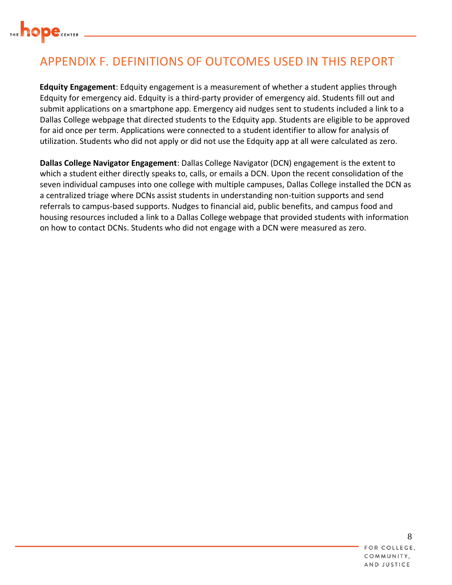

# <span id="page-7-0"></span>APPENDIX F. DEFINITIONS OF OUTCOMES USED IN THIS REPORT

**Edquity Engagement**: Edquity engagement is a measurement of whether a student applies through Edquity for emergency aid. Edquity is a third-party provider of emergency aid. Students fill out and submit applications on a smartphone app. Emergency aid nudges sent to students included a link to a Dallas College webpage that directed students to the Edquity app. Students are eligible to be approved for aid once per term. Applications were connected to a student identifier to allow for analysis of utilization. Students who did not apply or did not use the Edquity app at all were calculated as zero.

**Dallas College Navigator Engagement**: Dallas College Navigator (DCN) engagement is the extent to which a student either directly speaks to, calls, or emails a DCN. Upon the recent consolidation of the seven individual campuses into one college with multiple campuses, Dallas College installed the DCN as a centralized triage where DCNs assist students in understanding non-tuition supports and send referrals to campus-based supports. Nudges to financial aid, public benefits, and campus food and housing resources included a link to a Dallas College webpage that provided students with information on how to contact DCNs. Students who did not engage with a DCN were measured as zero.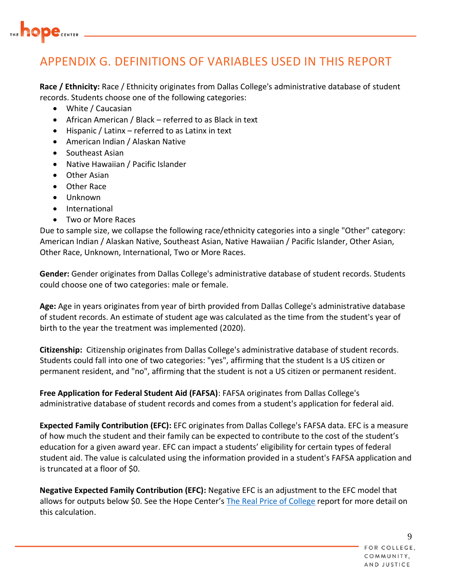

# <span id="page-8-0"></span>APPENDIX G. DEFINITIONS OF VARIABLES USED IN THIS REPORT

**Race / Ethnicity:** Race / Ethnicity originates from Dallas College's administrative database of student records. Students choose one of the following categories:

- White / Caucasian
- African American / Black referred to as Black in text
- Hispanic / Latinx referred to as Latinx in text
- American Indian / Alaskan Native
- Southeast Asian
- Native Hawaiian / Pacific Islander
- Other Asian
- Other Race
- Unknown
- International
- Two or More Races

Due to sample size, we collapse the following race/ethnicity categories into a single "Other" category: American Indian / Alaskan Native, Southeast Asian, Native Hawaiian / Pacific Islander, Other Asian, Other Race, Unknown, International, Two or More Races.

**Gender:** Gender originates from Dallas College's administrative database of student records. Students could choose one of two categories: male or female.

**Age:** Age in years originates from year of birth provided from Dallas College's administrative database of student records. An estimate of student age was calculated as the time from the student's year of birth to the year the treatment was implemented (2020).

**Citizenship:** Citizenship originates from Dallas College's administrative database of student records. Students could fall into one of two categories: "yes", affirming that the student Is a US citizen or permanent resident, and "no", affirming that the student is not a US citizen or permanent resident.

**Free Application for Federal Student Aid (FAFSA)**: FAFSA originates from Dallas College's administrative database of student records and comes from a student's application for federal aid.

**Expected Family Contribution (EFC):** EFC originates from Dallas College's FAFSA data. EFC is a measure of how much the student and their family can be expected to contribute to the cost of the student's education for a given award year. EFC can impact a students' eligibility for certain types of federal student aid. The value is calculated using the information provided in a student's FAFSA application and is truncated at a floor of \$0.

**Negative Expected Family Contribution (EFC):** Negative EFC is an adjustment to the EFC model that allows for outputs below \$0. See the Hope Center's [The Real Price of College](https://hope4college.com/the-real-price-of-college-how-using-the-negative-expected-family-contribution-can-better-support-students/) report for more detail on this calculation.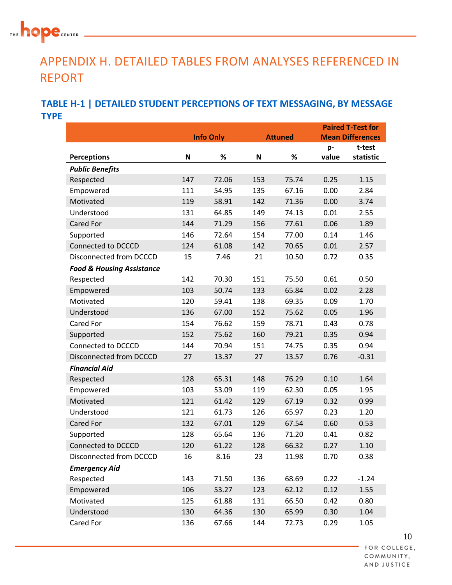## THE<sup>1</sup> **hope** CENTER

# <span id="page-9-0"></span>APPENDIX H. DETAILED TABLES FROM ANALYSES REFERENCED IN REPORT

## **TABLE H-1 | DETAILED STUDENT PERCEPTIONS OF TEXT MESSAGING, BY MESSAGE TYPE**

|                                      |                  |       |     |                |       | <b>Paired T-Test for</b> |
|--------------------------------------|------------------|-------|-----|----------------|-------|--------------------------|
|                                      | <b>Info Only</b> |       |     | <b>Attuned</b> |       | <b>Mean Differences</b>  |
|                                      |                  |       |     |                | p-    | t-test                   |
| <b>Perceptions</b>                   | N                | %     | N   | %              | value | statistic                |
| <b>Public Benefits</b>               |                  |       |     |                |       |                          |
| Respected                            | 147              | 72.06 | 153 | 75.74          | 0.25  | 1.15                     |
| Empowered                            | 111              | 54.95 | 135 | 67.16          | 0.00  | 2.84                     |
| Motivated                            | 119              | 58.91 | 142 | 71.36          | 0.00  | 3.74                     |
| Understood                           | 131              | 64.85 | 149 | 74.13          | 0.01  | 2.55                     |
| <b>Cared For</b>                     | 144              | 71.29 | 156 | 77.61          | 0.06  | 1.89                     |
| Supported                            | 146              | 72.64 | 154 | 77.00          | 0.14  | 1.46                     |
| Connected to DCCCD                   | 124              | 61.08 | 142 | 70.65          | 0.01  | 2.57                     |
| Disconnected from DCCCD              | 15               | 7.46  | 21  | 10.50          | 0.72  | 0.35                     |
| <b>Food &amp; Housing Assistance</b> |                  |       |     |                |       |                          |
| Respected                            | 142              | 70.30 | 151 | 75.50          | 0.61  | 0.50                     |
| Empowered                            | 103              | 50.74 | 133 | 65.84          | 0.02  | 2.28                     |
| Motivated                            | 120              | 59.41 | 138 | 69.35          | 0.09  | 1.70                     |
| Understood                           | 136              | 67.00 | 152 | 75.62          | 0.05  | 1.96                     |
| <b>Cared For</b>                     | 154              | 76.62 | 159 | 78.71          | 0.43  | 0.78                     |
| Supported                            | 152              | 75.62 | 160 | 79.21          | 0.35  | 0.94                     |
| Connected to DCCCD                   | 144              | 70.94 | 151 | 74.75          | 0.35  | 0.94                     |
| Disconnected from DCCCD              | 27               | 13.37 | 27  | 13.57          | 0.76  | $-0.31$                  |
| <b>Financial Aid</b>                 |                  |       |     |                |       |                          |
| Respected                            | 128              | 65.31 | 148 | 76.29          | 0.10  | 1.64                     |
| Empowered                            | 103              | 53.09 | 119 | 62.30          | 0.05  | 1.95                     |
| Motivated                            | 121              | 61.42 | 129 | 67.19          | 0.32  | 0.99                     |
| Understood                           | 121              | 61.73 | 126 | 65.97          | 0.23  | 1.20                     |
| <b>Cared For</b>                     | 132              | 67.01 | 129 | 67.54          | 0.60  | 0.53                     |
| Supported                            | 128              | 65.64 | 136 | 71.20          | 0.41  | 0.82                     |
| Connected to DCCCD                   | 120              | 61.22 | 128 | 66.32          | 0.27  | 1.10                     |
| Disconnected from DCCCD              | 16               | 8.16  | 23  | 11.98          | 0.70  | 0.38                     |
| <b>Emergency Aid</b>                 |                  |       |     |                |       |                          |
| Respected                            | 143              | 71.50 | 136 | 68.69          | 0.22  | $-1.24$                  |
| Empowered                            | 106              | 53.27 | 123 | 62.12          | 0.12  | 1.55                     |
| Motivated                            | 125              | 61.88 | 131 | 66.50          | 0.42  | 0.80                     |
| Understood                           | 130              | 64.36 | 130 | 65.99          | 0.30  | 1.04                     |
| Cared For                            | 136              | 67.66 | 144 | 72.73          | 0.29  | 1.05                     |

10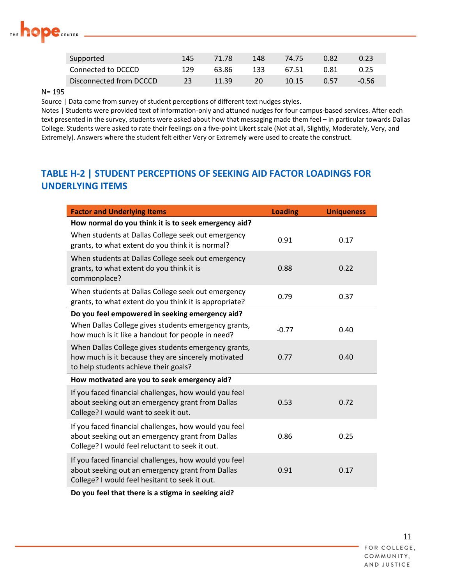

| Supported               | 145 | 71.78 | 148 | 74.75 | 0.82 |       |
|-------------------------|-----|-------|-----|-------|------|-------|
| Connected to DCCCD      | 129 | 63.86 | 133 | 67.51 | 0.81 | 0.25  |
| Disconnected from DCCCD |     | 11.39 |     | 10.15 | በ 57 | -0.56 |

#### N= 195

Source | Data come from survey of student perceptions of different text nudges styles.

Notes | Students were provided text of information-only and attuned nudges for four campus-based services. After each text presented in the survey, students were asked about how that messaging made them feel – in particular towards Dallas College. Students were asked to rate their feelings on a five-point Likert scale (Not at all, Slightly, Moderately, Very, and Extremely). Answers where the student felt either Very or Extremely were used to create the construct.

#### **TABLE H-2 | STUDENT PERCEPTIONS OF SEEKING AID FACTOR LOADINGS FOR UNDERLYING ITEMS**

| <b>Factor and Underlying Items</b>                                                                                                                           | <b>Loading</b> | <b>Uniqueness</b> |
|--------------------------------------------------------------------------------------------------------------------------------------------------------------|----------------|-------------------|
| How normal do you think it is to seek emergency aid?                                                                                                         |                |                   |
| When students at Dallas College seek out emergency<br>grants, to what extent do you think it is normal?                                                      | 0.91           | 0.17              |
| When students at Dallas College seek out emergency<br>grants, to what extent do you think it is<br>commonplace?                                              | 0.88           | 0.22              |
| When students at Dallas College seek out emergency<br>grants, to what extent do you think it is appropriate?                                                 | 0.79           | 0.37              |
| Do you feel empowered in seeking emergency aid?                                                                                                              |                |                   |
| When Dallas College gives students emergency grants,<br>how much is it like a handout for people in need?                                                    | $-0.77$        | 0.40              |
| When Dallas College gives students emergency grants,<br>how much is it because they are sincerely motivated<br>to help students achieve their goals?         | 0.77           | 0.40              |
| How motivated are you to seek emergency aid?                                                                                                                 |                |                   |
| If you faced financial challenges, how would you feel<br>about seeking out an emergency grant from Dallas<br>College? I would want to seek it out.           | 0.53           | 0.72              |
| If you faced financial challenges, how would you feel<br>about seeking out an emergency grant from Dallas<br>College? I would feel reluctant to seek it out. | 0.86           | 0.25              |
| If you faced financial challenges, how would you feel<br>about seeking out an emergency grant from Dallas<br>College? I would feel hesitant to seek it out.  | 0.91           | 0.17              |
| Do you feel that there is a stigma in seeking aid?                                                                                                           |                |                   |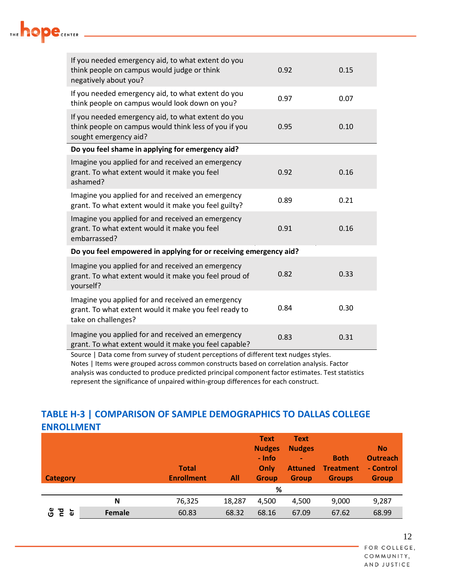| If you needed emergency aid, to what extent do you<br>think people on campus would judge or think<br>negatively about you?                                                          | 0.92 | 0.15 |
|-------------------------------------------------------------------------------------------------------------------------------------------------------------------------------------|------|------|
| If you needed emergency aid, to what extent do you<br>think people on campus would look down on you?                                                                                | 0.97 | 0.07 |
| If you needed emergency aid, to what extent do you<br>think people on campus would think less of you if you<br>sought emergency aid?                                                | 0.95 | 0.10 |
| Do you feel shame in applying for emergency aid?                                                                                                                                    |      |      |
| Imagine you applied for and received an emergency<br>grant. To what extent would it make you feel<br>ashamed?                                                                       | 0.92 | 0.16 |
| Imagine you applied for and received an emergency<br>grant. To what extent would it make you feel guilty?                                                                           | 0.89 | 0.21 |
| Imagine you applied for and received an emergency<br>grant. To what extent would it make you feel<br>embarrassed?                                                                   | 0.91 | 0.16 |
| Do you feel empowered in applying for or receiving emergency aid?                                                                                                                   |      |      |
| Imagine you applied for and received an emergency<br>grant. To what extent would it make you feel proud of<br>yourself?                                                             | 0.82 | 0.33 |
| Imagine you applied for and received an emergency<br>grant. To what extent would it make you feel ready to<br>take on challenges?                                                   | 0.84 | 0.30 |
| Imagine you applied for and received an emergency<br>grant. To what extent would it make you feel capable?                                                                          | 0.83 | 0.31 |
| Source   Data come from survey of student perceptions of different text nudges styles.<br>Notes   Items were grouped across common constructs based on correlation analysis. Factor |      |      |

<u> 1989 - Johann Barn, mars eta bainar e</u>

THE **hope** CENTER

## **TABLE H-3 | COMPARISON OF SAMPLE DEMOGRAPHICS TO DALLAS COLLEGE ENROLLMENT**

represent the significance of unpaired within-group differences for each construct.

analysis was conducted to produce predicted principal component factor estimates. Test statistics

| <b>Category</b> |        | <b>Total</b><br><b>Enrollment</b> | All    | <b>Text</b><br><b>Nudges</b><br>- Info<br>Only<br><b>Group</b> | Text<br><b>Nudges</b><br>٠<br><b>Attuned</b><br><b>Group</b> | <b>Both</b><br><b>Treatment</b><br><b>Groups</b> | <b>No</b><br><b>Outreach</b><br>- Control<br><b>Group</b> |
|-----------------|--------|-----------------------------------|--------|----------------------------------------------------------------|--------------------------------------------------------------|--------------------------------------------------|-----------------------------------------------------------|
|                 |        |                                   |        | %                                                              |                                                              |                                                  |                                                           |
|                 | N      | 76,325                            | 18,287 | 4.500                                                          | 4,500                                                        | 9,000                                            | 9,287                                                     |
| ပ္ပိ<br>짇<br>ò  | Female | 60.83                             | 68.32  | 68.16                                                          | 67.09                                                        | 67.62                                            | 68.99                                                     |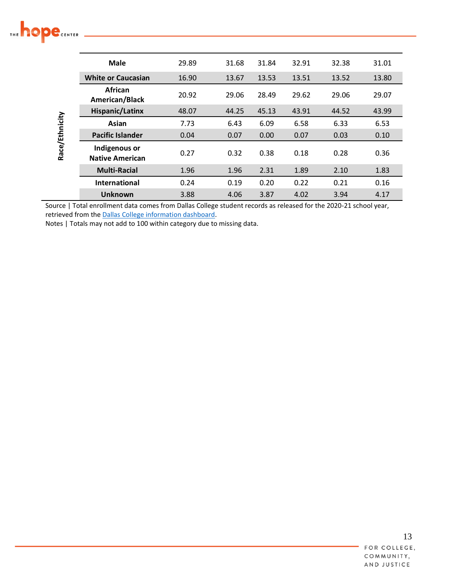# THE **hope** CENTER

| Race/Ethnicity | Male                                    | 29.89 | 31.68 | 31.84 | 32.91 | 32.38 | 31.01 |
|----------------|-----------------------------------------|-------|-------|-------|-------|-------|-------|
|                | <b>White or Caucasian</b>               | 16.90 | 13.67 | 13.53 | 13.51 | 13.52 | 13.80 |
|                | <b>African</b><br>American/Black        | 20.92 | 29.06 | 28.49 | 29.62 | 29.06 | 29.07 |
|                | <b>Hispanic/Latinx</b>                  | 48.07 | 44.25 | 45.13 | 43.91 | 44.52 | 43.99 |
|                | Asian                                   | 7.73  | 6.43  | 6.09  | 6.58  | 6.33  | 6.53  |
|                | <b>Pacific Islander</b>                 | 0.04  | 0.07  | 0.00  | 0.07  | 0.03  | 0.10  |
|                | Indigenous or<br><b>Native American</b> | 0.27  | 0.32  | 0.38  | 0.18  | 0.28  | 0.36  |
|                | <b>Multi-Racial</b>                     | 1.96  | 1.96  | 2.31  | 1.89  | 2.10  | 1.83  |
|                | <b>International</b>                    | 0.24  | 0.19  | 0.20  | 0.22  | 0.21  | 0.16  |
|                | <b>Unknown</b>                          | 3.88  | 4.06  | 3.87  | 4.02  | 3.94  | 4.17  |

Source | Total enrollment data comes from Dallas College student records as released for the 2020-21 school year, retrieved from the **Dallas College** information dashboard.

Notes | Totals may not add to 100 within category due to missing data.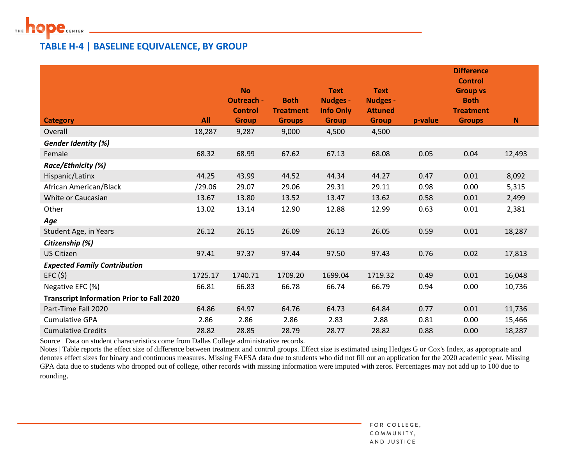

#### **TABLE H-4 | BASELINE EQUIVALENCE, BY GROUP**

|                                                  |         | <b>No</b><br><b>Outreach -</b><br><b>Control</b> | <b>Both</b><br><b>Treatment</b> | <b>Text</b><br><b>Nudges -</b><br><b>Info Only</b> | <b>Text</b><br><b>Nudges -</b><br><b>Attuned</b> |         | <b>Difference</b><br><b>Control</b><br><b>Group vs</b><br><b>Both</b><br><b>Treatment</b> |        |
|--------------------------------------------------|---------|--------------------------------------------------|---------------------------------|----------------------------------------------------|--------------------------------------------------|---------|-------------------------------------------------------------------------------------------|--------|
| <b>Category</b>                                  | All     | <b>Group</b>                                     | <b>Groups</b>                   | <b>Group</b>                                       | <b>Group</b>                                     | p-value | <b>Groups</b>                                                                             | N      |
| Overall                                          | 18,287  | 9,287                                            | 9,000                           | 4,500                                              | 4,500                                            |         |                                                                                           |        |
| <b>Gender Identity (%)</b>                       |         |                                                  |                                 |                                                    |                                                  |         |                                                                                           |        |
| Female                                           | 68.32   | 68.99                                            | 67.62                           | 67.13                                              | 68.08                                            | 0.05    | 0.04                                                                                      | 12,493 |
| Race/Ethnicity (%)                               |         |                                                  |                                 |                                                    |                                                  |         |                                                                                           |        |
| Hispanic/Latinx                                  | 44.25   | 43.99                                            | 44.52                           | 44.34                                              | 44.27                                            | 0.47    | 0.01                                                                                      | 8,092  |
| African American/Black                           | /29.06  | 29.07                                            | 29.06                           | 29.31                                              | 29.11                                            | 0.98    | 0.00                                                                                      | 5,315  |
| White or Caucasian                               | 13.67   | 13.80                                            | 13.52                           | 13.47                                              | 13.62                                            | 0.58    | 0.01                                                                                      | 2,499  |
| Other                                            | 13.02   | 13.14                                            | 12.90                           | 12.88                                              | 12.99                                            | 0.63    | 0.01                                                                                      | 2,381  |
| Age                                              |         |                                                  |                                 |                                                    |                                                  |         |                                                                                           |        |
| Student Age, in Years                            | 26.12   | 26.15                                            | 26.09                           | 26.13                                              | 26.05                                            | 0.59    | 0.01                                                                                      | 18,287 |
| Citizenship (%)                                  |         |                                                  |                                 |                                                    |                                                  |         |                                                                                           |        |
| <b>US Citizen</b>                                | 97.41   | 97.37                                            | 97.44                           | 97.50                                              | 97.43                                            | 0.76    | 0.02                                                                                      | 17,813 |
| <b>Expected Family Contribution</b>              |         |                                                  |                                 |                                                    |                                                  |         |                                                                                           |        |
| EFC(5)                                           | 1725.17 | 1740.71                                          | 1709.20                         | 1699.04                                            | 1719.32                                          | 0.49    | 0.01                                                                                      | 16,048 |
| Negative EFC (%)                                 | 66.81   | 66.83                                            | 66.78                           | 66.74                                              | 66.79                                            | 0.94    | 0.00                                                                                      | 10,736 |
| <b>Transcript Information Prior to Fall 2020</b> |         |                                                  |                                 |                                                    |                                                  |         |                                                                                           |        |
| Part-Time Fall 2020                              | 64.86   | 64.97                                            | 64.76                           | 64.73                                              | 64.84                                            | 0.77    | 0.01                                                                                      | 11,736 |
| <b>Cumulative GPA</b>                            | 2.86    | 2.86                                             | 2.86                            | 2.83                                               | 2.88                                             | 0.81    | 0.00                                                                                      | 15,466 |
| <b>Cumulative Credits</b>                        | 28.82   | 28.85                                            | 28.79                           | 28.77                                              | 28.82                                            | 0.88    | 0.00                                                                                      | 18,287 |

Source | Data on student characteristics come from Dallas College administrative records.

Notes | Table reports the effect size of difference between treatment and control groups. Effect size is estimated using Hedges G or Cox's Index, as appropriate and denotes effect sizes for binary and continuous measures. Missing FAFSA data due to students who did not fill out an application for the 2020 academic year. Missing GPA data due to students who dropped out of college, other records with missing information were imputed with zeros. Percentages may not add up to 100 due to rounding.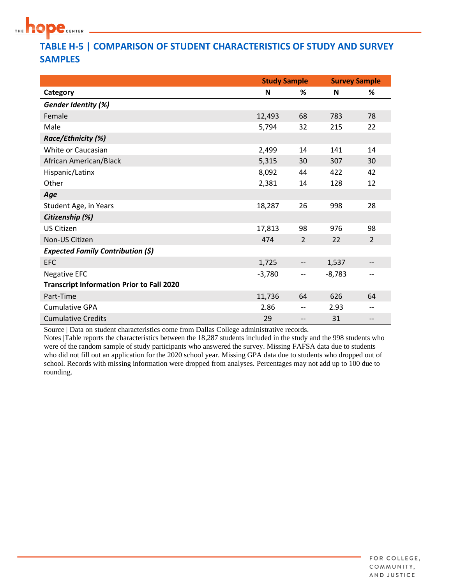

## **TABLE H-5 | COMPARISON OF STUDENT CHARACTERISTICS OF STUDY AND SURVEY SAMPLES**

|                                                  | <b>Study Sample</b> |                | <b>Survey Sample</b> |                |
|--------------------------------------------------|---------------------|----------------|----------------------|----------------|
| Category                                         | N                   | %              | N                    | %              |
| Gender Identity (%)                              |                     |                |                      |                |
| Female                                           | 12,493              | 68             | 783                  | 78             |
| Male                                             | 5,794               | 32             | 215                  | 22             |
| Race/Ethnicity (%)                               |                     |                |                      |                |
| White or Caucasian                               | 2,499               | 14             | 141                  | 14             |
| African American/Black                           | 5,315               | 30             | 307                  | 30             |
| Hispanic/Latinx                                  | 8,092               | 44             | 422                  | 42             |
| Other                                            | 2,381               | 14             | 128                  | 12             |
| Age                                              |                     |                |                      |                |
| Student Age, in Years                            | 18,287              | 26             | 998                  | 28             |
| Citizenship (%)                                  |                     |                |                      |                |
| <b>US Citizen</b>                                | 17,813              | 98             | 976                  | 98             |
| Non-US Citizen                                   | 474                 | $\overline{2}$ | 22                   | $\overline{2}$ |
| <b>Expected Family Contribution (\$)</b>         |                     |                |                      |                |
| <b>EFC</b>                                       | 1,725               | --             | 1,537                |                |
| <b>Negative EFC</b>                              | $-3,780$            | $-$            | $-8,783$             | --             |
| <b>Transcript Information Prior to Fall 2020</b> |                     |                |                      |                |
| Part-Time                                        | 11,736              | 64             | 626                  | 64             |
| <b>Cumulative GPA</b>                            | 2.86                | $-$            | 2.93                 | --             |
| <b>Cumulative Credits</b>                        | 29                  |                | 31                   | --             |

Source | Data on student characteristics come from Dallas College administrative records.

Notes |Table reports the characteristics between the 18,287 students included in the study and the 998 students who were of the random sample of study participants who answered the survey. Missing FAFSA data due to students who did not fill out an application for the 2020 school year. Missing GPA data due to students who dropped out of school. Records with missing information were dropped from analyses. Percentages may not add up to 100 due to rounding.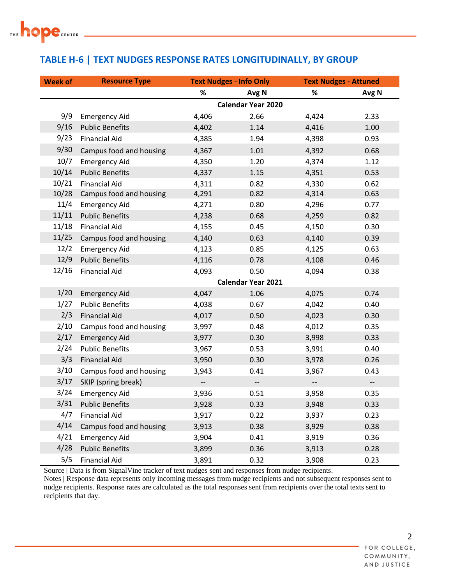

## **TABLE H-6 | TEXT NUDGES RESPONSE RATES LONGITUDINALLY, BY GROUP**

| <b>Week of</b> | <b>Resource Type</b>    |                          | <b>Text Nudges - Info Only</b> |                          | <b>Text Nudges - Attuned</b> |
|----------------|-------------------------|--------------------------|--------------------------------|--------------------------|------------------------------|
|                |                         | %                        | Avg N                          | %                        | Avg N                        |
|                |                         |                          | <b>Calendar Year 2020</b>      |                          |                              |
| 9/9            | <b>Emergency Aid</b>    | 4,406                    | 2.66                           | 4,424                    | 2.33                         |
| 9/16           | <b>Public Benefits</b>  | 4,402                    | 1.14                           | 4,416                    | 1.00                         |
| 9/23           | <b>Financial Aid</b>    | 4,385                    | 1.94                           | 4,398                    | 0.93                         |
| 9/30           | Campus food and housing | 4,367                    | 1.01                           | 4,392                    | 0.68                         |
| 10/7           | <b>Emergency Aid</b>    | 4,350                    | 1.20                           | 4,374                    | 1.12                         |
| 10/14          | <b>Public Benefits</b>  | 4,337                    | 1.15                           | 4,351                    | 0.53                         |
| 10/21          | <b>Financial Aid</b>    | 4,311                    | 0.82                           | 4,330                    | 0.62                         |
| 10/28          | Campus food and housing | 4,291                    | 0.82                           | 4,314                    | 0.63                         |
| 11/4           | <b>Emergency Aid</b>    | 4,271                    | 0.80                           | 4,296                    | 0.77                         |
| 11/11          | <b>Public Benefits</b>  | 4,238                    | 0.68                           | 4,259                    | 0.82                         |
| 11/18          | <b>Financial Aid</b>    | 4,155                    | 0.45                           | 4,150                    | 0.30                         |
| 11/25          | Campus food and housing | 4,140                    | 0.63                           | 4,140                    | 0.39                         |
| 12/2           | <b>Emergency Aid</b>    | 4,123                    | 0.85                           | 4,125                    | 0.63                         |
| 12/9           | <b>Public Benefits</b>  | 4,116                    | 0.78                           | 4,108                    | 0.46                         |
| 12/16          | <b>Financial Aid</b>    | 4,093                    | 0.50                           | 4,094                    | 0.38                         |
|                |                         |                          | <b>Calendar Year 2021</b>      |                          |                              |
| 1/20           | <b>Emergency Aid</b>    | 4,047                    | 1.06                           | 4,075                    | 0.74                         |
| 1/27           | <b>Public Benefits</b>  | 4,038                    | 0.67                           | 4,042                    | 0.40                         |
| 2/3            | <b>Financial Aid</b>    | 4,017                    | 0.50                           | 4,023                    | 0.30                         |
| 2/10           | Campus food and housing | 3,997                    | 0.48                           | 4,012                    | 0.35                         |
| 2/17           | <b>Emergency Aid</b>    | 3,977                    | 0.30                           | 3,998                    | 0.33                         |
| 2/24           | <b>Public Benefits</b>  | 3,967                    | 0.53                           | 3,991                    | 0.40                         |
| 3/3            | <b>Financial Aid</b>    | 3,950                    | 0.30                           | 3,978                    | 0.26                         |
| 3/10           | Campus food and housing | 3,943                    | 0.41                           | 3,967                    | 0.43                         |
| 3/17           | SKIP (spring break)     | $\overline{\phantom{a}}$ | $\overline{\phantom{a}}$       | $\overline{\phantom{a}}$ | $\overline{\phantom{a}}$     |
| 3/24           | <b>Emergency Aid</b>    | 3,936                    | 0.51                           | 3,958                    | 0.35                         |
| 3/31           | <b>Public Benefits</b>  | 3,928                    | 0.33                           | 3,948                    | 0.33                         |
| 4/7            | <b>Financial Aid</b>    | 3,917                    | 0.22                           | 3,937                    | 0.23                         |
| 4/14           | Campus food and housing | 3,913                    | 0.38                           | 3,929                    | 0.38                         |
| 4/21           | <b>Emergency Aid</b>    | 3,904                    | 0.41                           | 3,919                    | 0.36                         |
| 4/28           | <b>Public Benefits</b>  | 3,899                    | 0.36                           | 3,913                    | 0.28                         |
| 5/5            | <b>Financial Aid</b>    | 3,891                    | 0.32                           | 3,908                    | 0.23                         |

Source | Data is from SignalVine tracker of text nudges sent and responses from nudge recipients.

Notes | Response data represents only incoming messages from nudge recipients and not subsequent responses sent to nudge recipients. Response rates are calculated as the total responses sent from recipients over the total texts sent to recipients that day.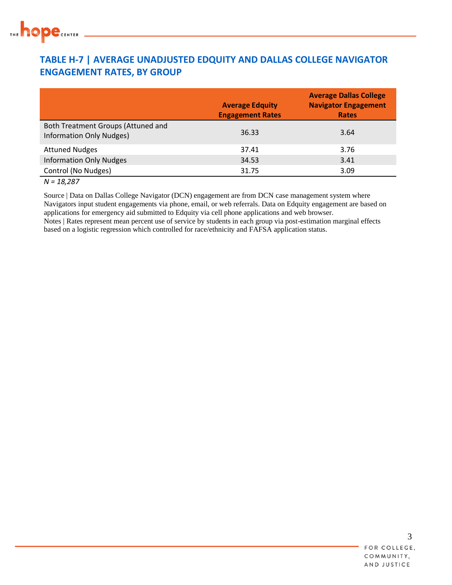

#### **TABLE H-7 | AVERAGE UNADJUSTED EDQUITY AND DALLAS COLLEGE NAVIGATOR ENGAGEMENT RATES, BY GROUP**

|                                                                       | <b>Average Edquity</b><br><b>Engagement Rates</b> | <b>Average Dallas College</b><br><b>Navigator Engagement</b><br><b>Rates</b> |
|-----------------------------------------------------------------------|---------------------------------------------------|------------------------------------------------------------------------------|
| Both Treatment Groups (Attuned and<br><b>Information Only Nudges)</b> | 36.33                                             | 3.64                                                                         |
| <b>Attuned Nudges</b>                                                 | 37.41                                             | 3.76                                                                         |
| <b>Information Only Nudges</b>                                        | 34.53                                             | 3.41                                                                         |
| Control (No Nudges)                                                   | 31.75                                             | 3.09                                                                         |

#### *N = 18,287*

Source | Data on Dallas College Navigator (DCN) engagement are from DCN case management system where Navigators input student engagements via phone, email, or web referrals. Data on Edquity engagement are based on applications for emergency aid submitted to Edquity via cell phone applications and web browser. Notes | Rates represent mean percent use of service by students in each group via post-estimation marginal effects based on a logistic regression which controlled for race/ethnicity and FAFSA application status.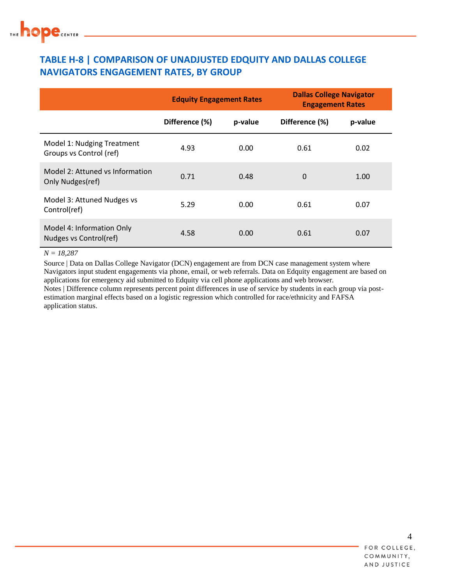## **TABLE H-8 | COMPARISON OF UNADJUSTED EDQUITY AND DALLAS COLLEGE NAVIGATORS ENGAGEMENT RATES, BY GROUP**

|                                                       | <b>Edquity Engagement Rates</b> |         | <b>Dallas College Navigator</b><br><b>Engagement Rates</b> |         |  |
|-------------------------------------------------------|---------------------------------|---------|------------------------------------------------------------|---------|--|
|                                                       | Difference (%)                  | p-value | Difference (%)                                             | p-value |  |
| Model 1: Nudging Treatment<br>Groups vs Control (ref) | 4.93                            | 0.00    | 0.61                                                       | 0.02    |  |
| Model 2: Attuned vs Information<br>Only Nudges(ref)   | 0.71                            | 0.48    | 0                                                          | 1.00    |  |
| Model 3: Attuned Nudges vs<br>Control(ref)            | 5.29                            | 0.00    | 0.61                                                       | 0.07    |  |
| Model 4: Information Only<br>Nudges vs Control(ref)   | 4.58                            | 0.00    | 0.61                                                       | 0.07    |  |

*N = 18,287*

Source | Data on Dallas College Navigator (DCN) engagement are from DCN case management system where Navigators input student engagements via phone, email, or web referrals. Data on Edquity engagement are based on applications for emergency aid submitted to Edquity via cell phone applications and web browser. Notes | Difference column represents percent point differences in use of service by students in each group via postestimation marginal effects based on a logistic regression which controlled for race/ethnicity and FAFSA application status.

4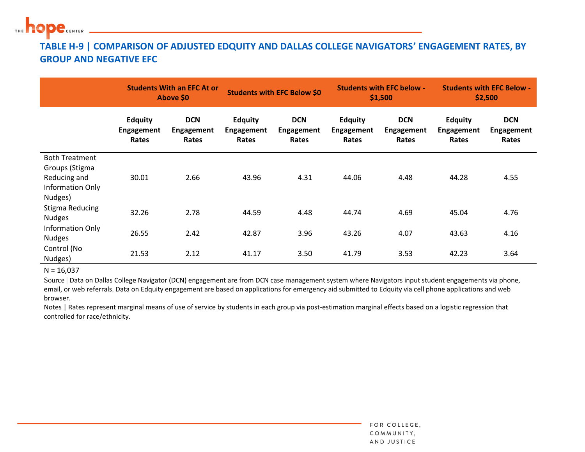

## **TABLE H-9 | COMPARISON OF ADJUSTED EDQUITY AND DALLAS COLLEGE NAVIGATORS' ENGAGEMENT RATES, BY GROUP AND NEGATIVE EFC**

|                                                                                        |                                              | <b>Students With an EFC At or</b><br><b>Above \$0</b> |                                              | <b>Students with EFC Below \$0</b>       |                                       | <b>Students with EFC below -</b><br>\$1,500 |                                              | <b>Students with EFC Below -</b><br>\$2,500 |  |
|----------------------------------------------------------------------------------------|----------------------------------------------|-------------------------------------------------------|----------------------------------------------|------------------------------------------|---------------------------------------|---------------------------------------------|----------------------------------------------|---------------------------------------------|--|
|                                                                                        | <b>Edquity</b><br><b>Engagement</b><br>Rates | <b>DCN</b><br>Engagement<br>Rates                     | <b>Edquity</b><br><b>Engagement</b><br>Rates | <b>DCN</b><br><b>Engagement</b><br>Rates | <b>Edquity</b><br>Engagement<br>Rates | <b>DCN</b><br>Engagement<br>Rates           | <b>Edquity</b><br><b>Engagement</b><br>Rates | <b>DCN</b><br>Engagement<br>Rates           |  |
| <b>Both Treatment</b><br>Groups (Stigma<br>Reducing and<br>Information Only<br>Nudges) | 30.01                                        | 2.66                                                  | 43.96                                        | 4.31                                     | 44.06                                 | 4.48                                        | 44.28                                        | 4.55                                        |  |
| Stigma Reducing<br><b>Nudges</b>                                                       | 32.26                                        | 2.78                                                  | 44.59                                        | 4.48                                     | 44.74                                 | 4.69                                        | 45.04                                        | 4.76                                        |  |
| Information Only<br><b>Nudges</b>                                                      | 26.55                                        | 2.42                                                  | 42.87                                        | 3.96                                     | 43.26                                 | 4.07                                        | 43.63                                        | 4.16                                        |  |
| Control (No<br>Nudges)                                                                 | 21.53                                        | 2.12                                                  | 41.17                                        | 3.50                                     | 41.79                                 | 3.53                                        | 42.23                                        | 3.64                                        |  |

 $N = 16,037$ 

Source | Data on Dallas College Navigator (DCN) engagement are from DCN case management system where Navigators input student engagements via phone, email, or web referrals. Data on Edquity engagement are based on applications for emergency aid submitted to Edquity via cell phone applications and web browser.

Notes | Rates represent marginal means of use of service by students in each group via post-estimation marginal effects based on a logistic regression that controlled for race/ethnicity.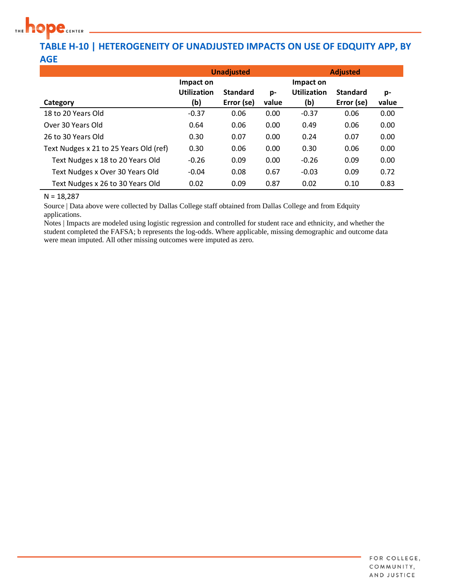

#### **TABLE H-10 | HETEROGENEITY OF UNADJUSTED IMPACTS ON USE OF EDQUITY APP, BY AGE**

|                                        |                                        | <b>Unadjusted</b>             |             | <b>Adjusted</b>                        |                               |             |  |
|----------------------------------------|----------------------------------------|-------------------------------|-------------|----------------------------------------|-------------------------------|-------------|--|
| Category                               | Impact on<br><b>Utilization</b><br>(b) | <b>Standard</b><br>Error (se) | p-<br>value | Impact on<br><b>Utilization</b><br>(b) | <b>Standard</b><br>Error (se) | p-<br>value |  |
| 18 to 20 Years Old                     | $-0.37$                                | 0.06                          | 0.00        | $-0.37$                                | 0.06                          | 0.00        |  |
| Over 30 Years Old                      | 0.64                                   | 0.06                          | 0.00        | 0.49                                   | 0.06                          | 0.00        |  |
| 26 to 30 Years Old                     | 0.30                                   | 0.07                          | 0.00        | 0.24                                   | 0.07                          | 0.00        |  |
| Text Nudges x 21 to 25 Years Old (ref) | 0.30                                   | 0.06                          | 0.00        | 0.30                                   | 0.06                          | 0.00        |  |
| Text Nudges x 18 to 20 Years Old       | $-0.26$                                | 0.09                          | 0.00        | $-0.26$                                | 0.09                          | 0.00        |  |
| Text Nudges x Over 30 Years Old        | $-0.04$                                | 0.08                          | 0.67        | $-0.03$                                | 0.09                          | 0.72        |  |
| Text Nudges x 26 to 30 Years Old       | 0.02                                   | 0.09                          | 0.87        | 0.02                                   | 0.10                          | 0.83        |  |

 $N = 18,287$ 

Source | Data above were collected by Dallas College staff obtained from Dallas College and from Edquity applications.

Notes | Impacts are modeled using logistic regression and controlled for student race and ethnicity, and whether the student completed the FAFSA; b represents the log-odds. Where applicable, missing demographic and outcome data were mean imputed. All other missing outcomes were imputed as zero.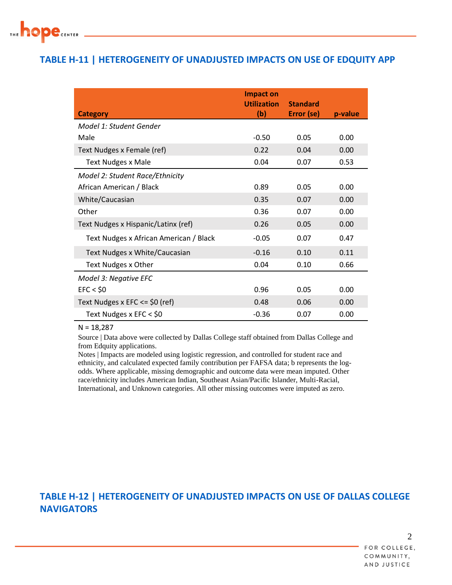

#### **TABLE H-11 | HETEROGENEITY OF UNADJUSTED IMPACTS ON USE OF EDQUITY APP**

|                                        | <b>Impact on</b><br><b>Utilization</b> | <b>Standard</b> |         |
|----------------------------------------|----------------------------------------|-----------------|---------|
| <b>Category</b>                        | (b)                                    | Error (se)      | p-value |
| Model 1: Student Gender                |                                        |                 |         |
| Male                                   | $-0.50$                                | 0.05            | 0.00    |
| Text Nudges x Female (ref)             | 0.22                                   | 0.04            | 0.00    |
| <b>Text Nudges x Male</b>              | 0.04                                   | 0.07            | 0.53    |
| Model 2: Student Race/Ethnicity        |                                        |                 |         |
| African American / Black               | 0.89                                   | 0.05            | 0.00    |
| White/Caucasian                        | 0.35                                   | 0.07            | 0.00    |
| Other                                  | 0.36                                   | 0.07            | 0.00    |
| Text Nudges x Hispanic/Latinx (ref)    | 0.26                                   | 0.05            | 0.00    |
| Text Nudges x African American / Black | $-0.05$                                | 0.07            | 0.47    |
| Text Nudges x White/Caucasian          | $-0.16$                                | 0.10            | 0.11    |
| Text Nudges x Other                    | 0.04                                   | 0.10            | 0.66    |
| Model 3: Negative EFC                  |                                        |                 |         |
| EFC < \$0                              | 0.96                                   | 0.05            | 0.00    |
| Text Nudges x EFC $\le$ \$0 (ref)      | 0.48                                   | 0.06            | 0.00    |
| Text Nudges x EFC < $$0$               | $-0.36$                                | 0.07            | 0.00    |

 $N = 18,287$ 

Source | Data above were collected by Dallas College staff obtained from Dallas College and from Edquity applications.

Notes | Impacts are modeled using logistic regression, and controlled for student race and ethnicity, and calculated expected family contribution per FAFSA data; b represents the logodds. Where applicable, missing demographic and outcome data were mean imputed. Other race/ethnicity includes American Indian, Southeast Asian/Pacific Islander, Multi-Racial, International, and Unknown categories. All other missing outcomes were imputed as zero.

#### **TABLE H-12 | HETEROGENEITY OF UNADJUSTED IMPACTS ON USE OF DALLAS COLLEGE NAVIGATORS**

 $\mathcal{L}$ FOR COLLEGE, COMMUNITY, AND JUSTICE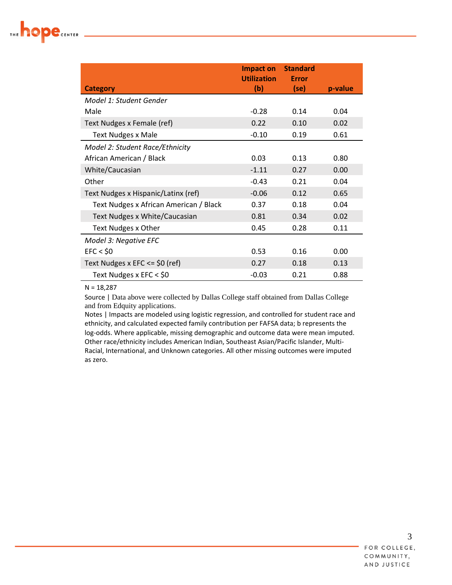

|                                        | Impact on          | <b>Standard</b> |         |
|----------------------------------------|--------------------|-----------------|---------|
|                                        | <b>Utilization</b> | Error           |         |
| <b>Category</b>                        | (b)                | (se)            | p-value |
| Model 1: Student Gender                |                    |                 |         |
| Male                                   | $-0.28$            | 0.14            | 0.04    |
| Text Nudges x Female (ref)             | 0.22               | 0.10            | 0.02    |
| <b>Text Nudges x Male</b>              | $-0.10$            | 0.19            | 0.61    |
| Model 2: Student Race/Ethnicity        |                    |                 |         |
| African American / Black               | 0.03               | 0.13            | 0.80    |
| White/Caucasian                        | $-1.11$            | 0.27            | 0.00    |
| Other                                  | $-0.43$            | 0.21            | 0.04    |
| Text Nudges x Hispanic/Latinx (ref)    | $-0.06$            | 0.12            | 0.65    |
| Text Nudges x African American / Black | 0.37               | 0.18            | 0.04    |
| Text Nudges x White/Caucasian          | 0.81               | 0.34            | 0.02    |
| Text Nudges x Other                    | 0.45               | 0.28            | 0.11    |
| Model 3: Negative EFC                  |                    |                 |         |
| EFC < \$0                              | 0.53               | 0.16            | 0.00    |
| Text Nudges x EFC <= \$0 (ref)         | 0.27               | 0.18            | 0.13    |
| Text Nudges x EFC < \$0                | $-0.03$            | 0.21            | 0.88    |

N = 18,287

Source | Data above were collected by Dallas College staff obtained from Dallas College and from Edquity applications.

Notes | Impacts are modeled using logistic regression, and controlled for student race and ethnicity, and calculated expected family contribution per FAFSA data; b represents the log-odds. Where applicable, missing demographic and outcome data were mean imputed. Other race/ethnicity includes American Indian, Southeast Asian/Pacific Islander, Multi-Racial, International, and Unknown categories. All other missing outcomes were imputed as zero.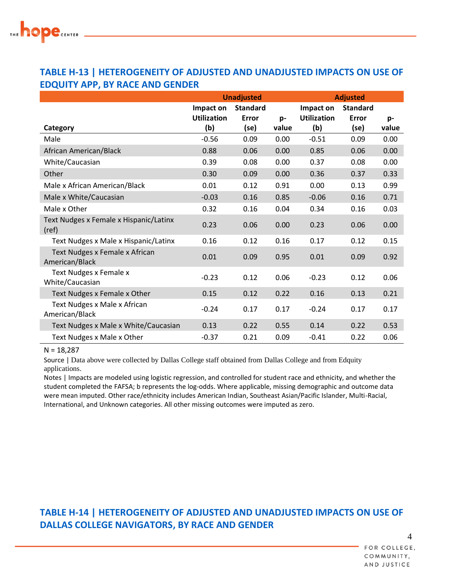### **TABLE H-13 | HETEROGENEITY OF ADJUSTED AND UNADJUSTED IMPACTS ON USE OF EDQUITY APP, BY RACE AND GENDER**

|                                                  |                    | <b>Unadjusted</b> |       | <b>Adjusted</b>    |                 |       |
|--------------------------------------------------|--------------------|-------------------|-------|--------------------|-----------------|-------|
|                                                  | Impact on          | <b>Standard</b>   |       | Impact on          | <b>Standard</b> |       |
|                                                  | <b>Utilization</b> | Error             | p-    | <b>Utilization</b> | <b>Error</b>    | p-    |
| Category                                         | (b)                | (se)              | value | (b)                | (se)            | value |
| Male                                             | $-0.56$            | 0.09              | 0.00  | $-0.51$            | 0.09            | 0.00  |
| African American/Black                           | 0.88               | 0.06              | 0.00  | 0.85               | 0.06            | 0.00  |
| White/Caucasian                                  | 0.39               | 0.08              | 0.00  | 0.37               | 0.08            | 0.00  |
| Other                                            | 0.30               | 0.09              | 0.00  | 0.36               | 0.37            | 0.33  |
| Male x African American/Black                    | 0.01               | 0.12              | 0.91  | 0.00               | 0.13            | 0.99  |
| Male x White/Caucasian                           | $-0.03$            | 0.16              | 0.85  | $-0.06$            | 0.16            | 0.71  |
| Male x Other                                     | 0.32               | 0.16              | 0.04  | 0.34               | 0.16            | 0.03  |
| Text Nudges x Female x Hispanic/Latinx<br>(ref)  | 0.23               | 0.06              | 0.00  | 0.23               | 0.06            | 0.00  |
| Text Nudges x Male x Hispanic/Latinx             | 0.16               | 0.12              | 0.16  | 0.17               | 0.12            | 0.15  |
| Text Nudges x Female x African<br>American/Black | 0.01               | 0.09              | 0.95  | 0.01               | 0.09            | 0.92  |
| Text Nudges x Female x<br>White/Caucasian        | $-0.23$            | 0.12              | 0.06  | $-0.23$            | 0.12            | 0.06  |
| Text Nudges x Female x Other                     | 0.15               | 0.12              | 0.22  | 0.16               | 0.13            | 0.21  |
| Text Nudges x Male x African<br>American/Black   | $-0.24$            | 0.17              | 0.17  | $-0.24$            | 0.17            | 0.17  |
| Text Nudges x Male x White/Caucasian             | 0.13               | 0.22              | 0.55  | 0.14               | 0.22            | 0.53  |
| Text Nudges x Male x Other                       | $-0.37$            | 0.21              | 0.09  | $-0.41$            | 0.22            | 0.06  |

#### $N = 18,287$

Source | Data above were collected by Dallas College staff obtained from Dallas College and from Edquity applications.

Notes | Impacts are modeled using logistic regression, and controlled for student race and ethnicity, and whether the student completed the FAFSA; b represents the log-odds. Where applicable, missing demographic and outcome data were mean imputed. Other race/ethnicity includes American Indian, Southeast Asian/Pacific Islander, Multi-Racial, International, and Unknown categories. All other missing outcomes were imputed as zero.

## **TABLE H-14 | HETEROGENEITY OF ADJUSTED AND UNADJUSTED IMPACTS ON USE OF DALLAS COLLEGE NAVIGATORS, BY RACE AND GENDER**

FOR COLLEGE, COMMUNITY, AND JUSTICE

4